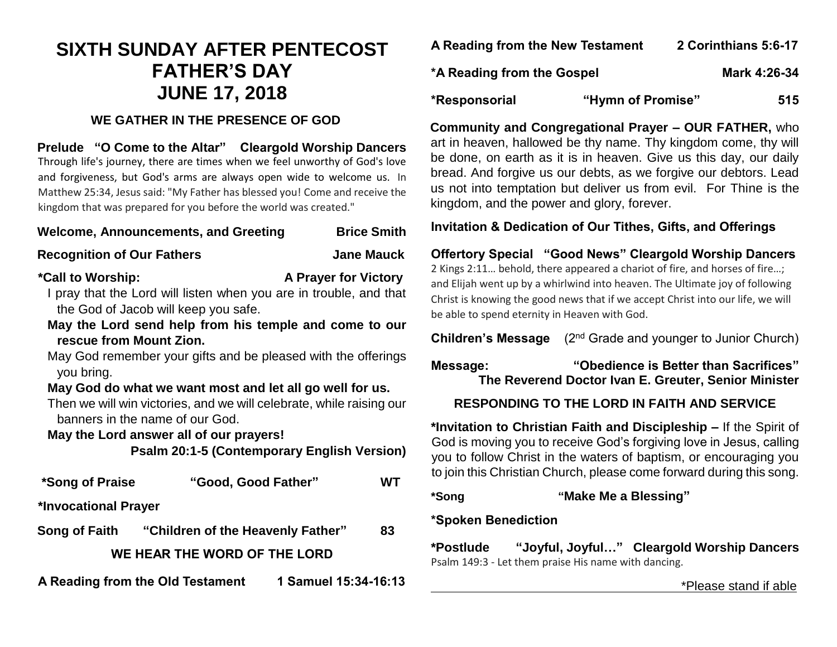# **SIXTH SUNDAY AFTER PENTECOST FATHER'S DAY JUNE 17, 2018**

## **WE GATHER IN THE PRESENCE OF GOD**

**Prelude "O Come to the Altar" Cleargold Worship Dancers** Through life's journey, there are times when we feel unworthy of God's love and forgiveness, but God's arms are always open wide to welcome us. In Matthew 25:34, Jesus said: "My Father has blessed you! Come and receive the kingdom that was prepared for you before the world was created."

| <b>Welcome, Announcements, and Greeting</b> | <b>Brice Smith</b> |
|---------------------------------------------|--------------------|
|---------------------------------------------|--------------------|

## **Recognition of Our Fathers Convertision State Manual Article Manual Article Manual Article Manual Article Manual Article Manual Article Manual Article Manual Article Manual Article Manual Article Manual Article Manual Art**

# **\*Call to Worship: A Prayer for Victory**

I pray that the Lord will listen when you are in trouble, and that the God of Jacob will keep you safe.

**May the Lord send help from his temple and come to our rescue from Mount Zion.**

May God remember your gifts and be pleased with the offerings you bring.

## **May God do what we want most and let all go well for us.**

Then we will win victories, and we will celebrate, while raising our banners in the name of our God.

#### **May the Lord answer all of our prayers!**

**Psalm 20:1-5 (Contemporary English Version)**

| *Song of Praise      | "Good, Good Father"                             |                      | WT |
|----------------------|-------------------------------------------------|----------------------|----|
| *Invocational Prayer |                                                 |                      |    |
|                      | Song of Faith "Children of the Heavenly Father" |                      | 83 |
|                      | WE HEAR THE WORD OF THE LORD                    |                      |    |
|                      | A Reading from the Old Testament                | 1 Samuel 15:34-16:13 |    |

| A Reading from the New Testament | 2 Corinthians 5:6-17 |
|----------------------------------|----------------------|
|----------------------------------|----------------------|

- **\*A Reading from the Gospel Mark 4:26-34**
- **\*Responsorial "Hymn of Promise" 515**

**Community and Congregational Prayer – OUR FATHER,** who art in heaven, hallowed be thy name. Thy kingdom come, thy will be done, on earth as it is in heaven. Give us this day, our daily bread. And forgive us our debts, as we forgive our debtors. Lead us not into temptation but deliver us from evil. For Thine is the kingdom, and the power and glory, forever.

## **Invitation & Dedication of Our Tithes, Gifts, and Offerings**

**Offertory Special "Good News" Cleargold Worship Dancers** 2 Kings 2:11… behold, there appeared a chariot of fire, and horses of fire…; and Elijah went up by a whirlwind into heaven. The Ultimate joy of following Christ is knowing the good news that if we accept Christ into our life, we will be able to spend eternity in Heaven with God.

**Children's Message** (2<sup>nd</sup> Grade and younger to Junior Church)

**Message: "Obedience is Better than Sacrifices" The Reverend Doctor Ivan E. Greuter, Senior Minister**

# **RESPONDING TO THE LORD IN FAITH AND SERVICE**

**\*Invitation to Christian Faith and Discipleship –** If the Spirit of God is moving you to receive God's forgiving love in Jesus, calling you to follow Christ in the waters of baptism, or encouraging you to join this Christian Church, please come forward during this song.

**\*Song "Make Me a Blessing"** 

### **\*Spoken Benediction**

**\*Postlude "Joyful, Joyful…" Cleargold Worship Dancers** Psalm 149:3 - Let them praise His name with dancing.